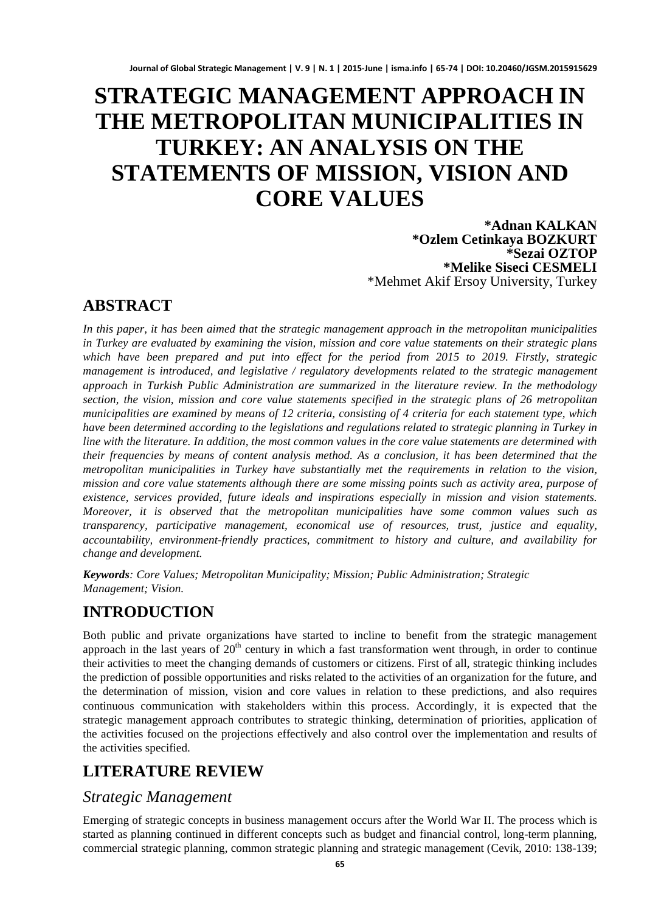# **STRATEGIC MANAGEMENT APPROACH IN THE METROPOLITAN MUNICIPALITIES IN TURKEY: AN ANALYSIS ON THE STATEMENTS OF MISSION, VISION AND CORE VALUES**

**\*Adnan KALKAN \*Ozlem Cetinkaya BOZKURT \*Sezai OZTOP \*Melike Siseci CESMELI** \*Mehmet Akif Ersoy University, Turkey

# **ABSTRACT**

*In this paper, it has been aimed that the strategic management approach in the metropolitan municipalities in Turkey are evaluated by examining the vision, mission and core value statements on their strategic plans which have been prepared and put into effect for the period from 2015 to 2019. Firstly, strategic management is introduced, and legislative / regulatory developments related to the strategic management approach in Turkish Public Administration are summarized in the literature review. In the methodology section, the vision, mission and core value statements specified in the strategic plans of 26 metropolitan municipalities are examined by means of 12 criteria, consisting of 4 criteria for each statement type, which have been determined according to the legislations and regulations related to strategic planning in Turkey in line with the literature. In addition, the most common values in the core value statements are determined with their frequencies by means of content analysis method. As a conclusion, it has been determined that the metropolitan municipalities in Turkey have substantially met the requirements in relation to the vision, mission and core value statements although there are some missing points such as activity area, purpose of existence, services provided, future ideals and inspirations especially in mission and vision statements. Moreover, it is observed that the metropolitan municipalities have some common values such as transparency, participative management, economical use of resources, trust, justice and equality, accountability, environment-friendly practices, commitment to history and culture, and availability for change and development.*

*Keywords: Core Values; Metropolitan Municipality; Mission; Public Administration; Strategic Management; Vision.* 

# **INTRODUCTION**

Both public and private organizations have started to incline to benefit from the strategic management approach in the last years of 20<sup>th</sup> century in which a fast transformation went through, in order to continue their activities to meet the changing demands of customers or citizens. First of all, strategic thinking includes the prediction of possible opportunities and risks related to the activities of an organization for the future, and the determination of mission, vision and core values in relation to these predictions, and also requires continuous communication with stakeholders within this process. Accordingly, it is expected that the strategic management approach contributes to strategic thinking, determination of priorities, application of the activities focused on the projections effectively and also control over the implementation and results of the activities specified.

# **LITERATURE REVIEW**

# *Strategic Management*

Emerging of strategic concepts in business management occurs after the World War II. The process which is started as planning continued in different concepts such as budget and financial control, long-term planning, commercial strategic planning, common strategic planning and strategic management (Cevik, 2010: 138-139;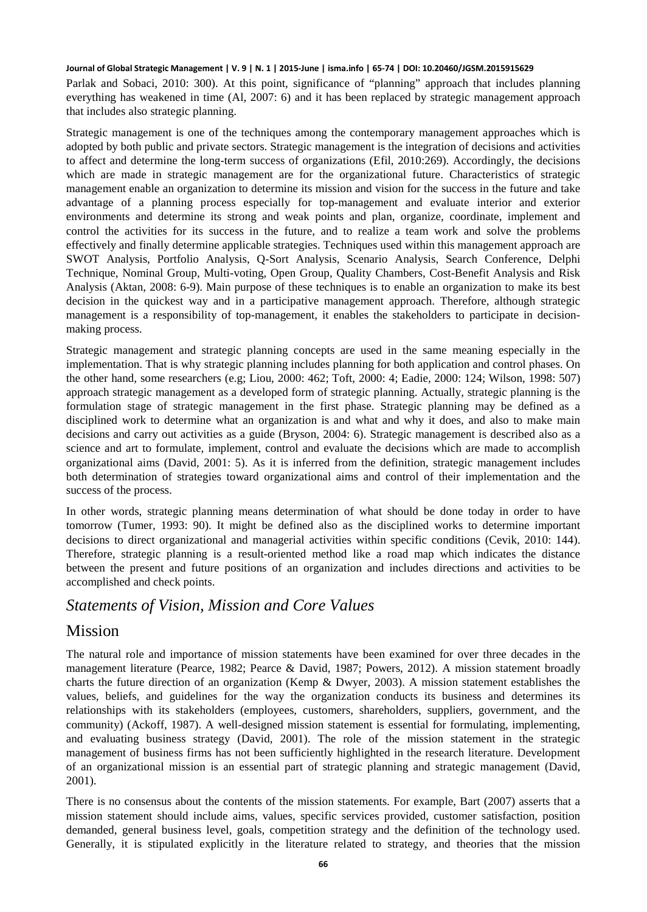Parlak and Sobaci, 2010: 300). At this point, significance of "planning" approach that includes planning everything has weakened in time (Al, 2007: 6) and it has been replaced by strategic management approach that includes also strategic planning.

Strategic management is one of the techniques among the contemporary management approaches which is adopted by both public and private sectors. Strategic management is the integration of decisions and activities to affect and determine the long-term success of organizations (Efil, 2010:269). Accordingly, the decisions which are made in strategic management are for the organizational future. Characteristics of strategic management enable an organization to determine its mission and vision for the success in the future and take advantage of a planning process especially for top-management and evaluate interior and exterior environments and determine its strong and weak points and plan, organize, coordinate, implement and control the activities for its success in the future, and to realize a team work and solve the problems effectively and finally determine applicable strategies. Techniques used within this management approach are SWOT Analysis, Portfolio Analysis, Q-Sort Analysis, Scenario Analysis, Search Conference, Delphi Technique, Nominal Group, Multi-voting, Open Group, Quality Chambers, Cost-Benefit Analysis and Risk Analysis (Aktan, 2008: 6-9). Main purpose of these techniques is to enable an organization to make its best decision in the quickest way and in a participative management approach. Therefore, although strategic management is a responsibility of top-management, it enables the stakeholders to participate in decisionmaking process.

Strategic management and strategic planning concepts are used in the same meaning especially in the implementation. That is why strategic planning includes planning for both application and control phases. On the other hand, some researchers (e.g; Liou, 2000: 462; Toft, 2000: 4; Eadie, 2000: 124; Wilson, 1998: 507) approach strategic management as a developed form of strategic planning. Actually, strategic planning is the formulation stage of strategic management in the first phase. Strategic planning may be defined as a disciplined work to determine what an organization is and what and why it does, and also to make main decisions and carry out activities as a guide (Bryson, 2004: 6). Strategic management is described also as a science and art to formulate, implement, control and evaluate the decisions which are made to accomplish organizational aims (David, 2001: 5). As it is inferred from the definition, strategic management includes both determination of strategies toward organizational aims and control of their implementation and the success of the process.

In other words, strategic planning means determination of what should be done today in order to have tomorrow (Tumer, 1993: 90). It might be defined also as the disciplined works to determine important decisions to direct organizational and managerial activities within specific conditions (Cevik, 2010: 144). Therefore, strategic planning is a result-oriented method like a road map which indicates the distance between the present and future positions of an organization and includes directions and activities to be accomplished and check points.

### *Statements of Vision, Mission and Core Values*

### Mission

The natural role and importance of mission statements have been examined for over three decades in the management literature (Pearce, 1982; Pearce & David, 1987; Powers, 2012). A mission statement broadly charts the future direction of an organization (Kemp & Dwyer, 2003). A mission statement establishes the values, beliefs, and guidelines for the way the organization conducts its business and determines its relationships with its stakeholders (employees, customers, shareholders, suppliers, government, and the community) (Ackoff, 1987). A well-designed mission statement is essential for formulating, implementing, and evaluating business strategy (David, 2001). The role of the mission statement in the strategic management of business firms has not been sufficiently highlighted in the research literature. Development of an organizational mission is an essential part of strategic planning and strategic management (David, 2001).

There is no consensus about the contents of the mission statements. For example, Bart (2007) asserts that a mission statement should include aims, values, specific services provided, customer satisfaction, position demanded, general business level, goals, competition strategy and the definition of the technology used. Generally, it is stipulated explicitly in the literature related to strategy, and theories that the mission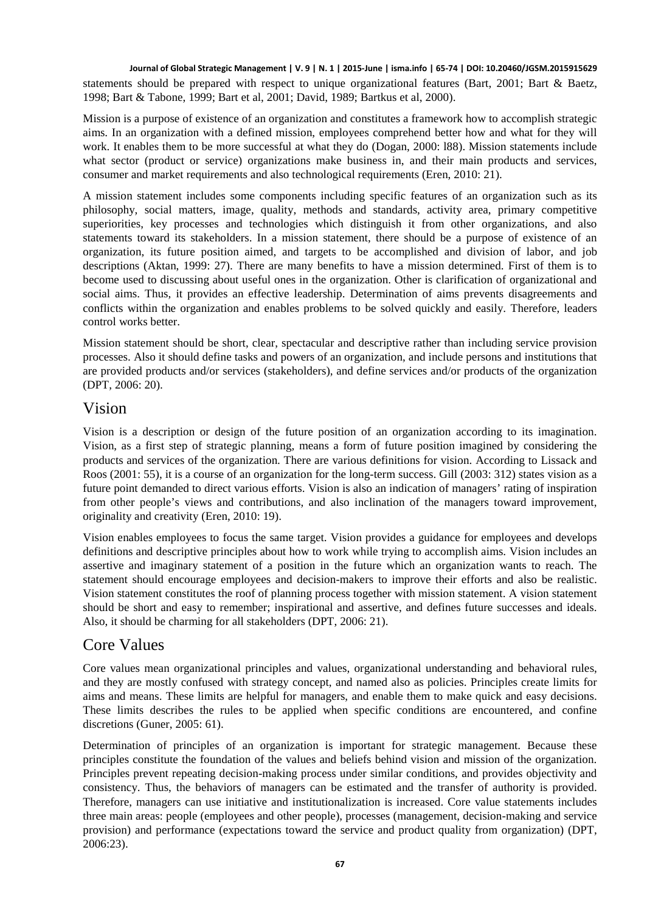statements should be prepared with respect to unique organizational features (Bart, 2001; Bart & Baetz, 1998; Bart & Tabone, 1999; Bart et al, 2001; David, 1989; Bartkus et al, 2000).

Mission is a purpose of existence of an organization and constitutes a framework how to accomplish strategic aims. In an organization with a defined mission, employees comprehend better how and what for they will work. It enables them to be more successful at what they do (Dogan, 2000: l88). Mission statements include what sector (product or service) organizations make business in, and their main products and services, consumer and market requirements and also technological requirements (Eren, 2010: 21).

A mission statement includes some components including specific features of an organization such as its philosophy, social matters, image, quality, methods and standards, activity area, primary competitive superiorities, key processes and technologies which distinguish it from other organizations, and also statements toward its stakeholders. In a mission statement, there should be a purpose of existence of an organization, its future position aimed, and targets to be accomplished and division of labor, and job descriptions (Aktan, 1999: 27). There are many benefits to have a mission determined. First of them is to become used to discussing about useful ones in the organization. Other is clarification of organizational and social aims. Thus, it provides an effective leadership. Determination of aims prevents disagreements and conflicts within the organization and enables problems to be solved quickly and easily. Therefore, leaders control works better.

Mission statement should be short, clear, spectacular and descriptive rather than including service provision processes. Also it should define tasks and powers of an organization, and include persons and institutions that are provided products and/or services (stakeholders), and define services and/or products of the organization (DPT, 2006: 20).

### Vision

Vision is a description or design of the future position of an organization according to its imagination. Vision, as a first step of strategic planning, means a form of future position imagined by considering the products and services of the organization. There are various definitions for vision. According to Lissack and Roos (2001: 55), it is a course of an organization for the long-term success. Gill (2003: 312) states vision as a future point demanded to direct various efforts. Vision is also an indication of managers' rating of inspiration from other people's views and contributions, and also inclination of the managers toward improvement, originality and creativity (Eren, 2010: 19).

Vision enables employees to focus the same target. Vision provides a guidance for employees and develops definitions and descriptive principles about how to work while trying to accomplish aims. Vision includes an assertive and imaginary statement of a position in the future which an organization wants to reach. The statement should encourage employees and decision-makers to improve their efforts and also be realistic. Vision statement constitutes the roof of planning process together with mission statement. A vision statement should be short and easy to remember; inspirational and assertive, and defines future successes and ideals. Also, it should be charming for all stakeholders (DPT, 2006: 21).

# Core Values

Core values mean organizational principles and values, organizational understanding and behavioral rules, and they are mostly confused with strategy concept, and named also as policies. Principles create limits for aims and means. These limits are helpful for managers, and enable them to make quick and easy decisions. These limits describes the rules to be applied when specific conditions are encountered, and confine discretions (Guner, 2005: 61).

Determination of principles of an organization is important for strategic management. Because these principles constitute the foundation of the values and beliefs behind vision and mission of the organization. Principles prevent repeating decision-making process under similar conditions, and provides objectivity and consistency. Thus, the behaviors of managers can be estimated and the transfer of authority is provided. Therefore, managers can use initiative and institutionalization is increased. Core value statements includes three main areas: people (employees and other people), processes (management, decision-making and service provision) and performance (expectations toward the service and product quality from organization) (DPT, 2006:23).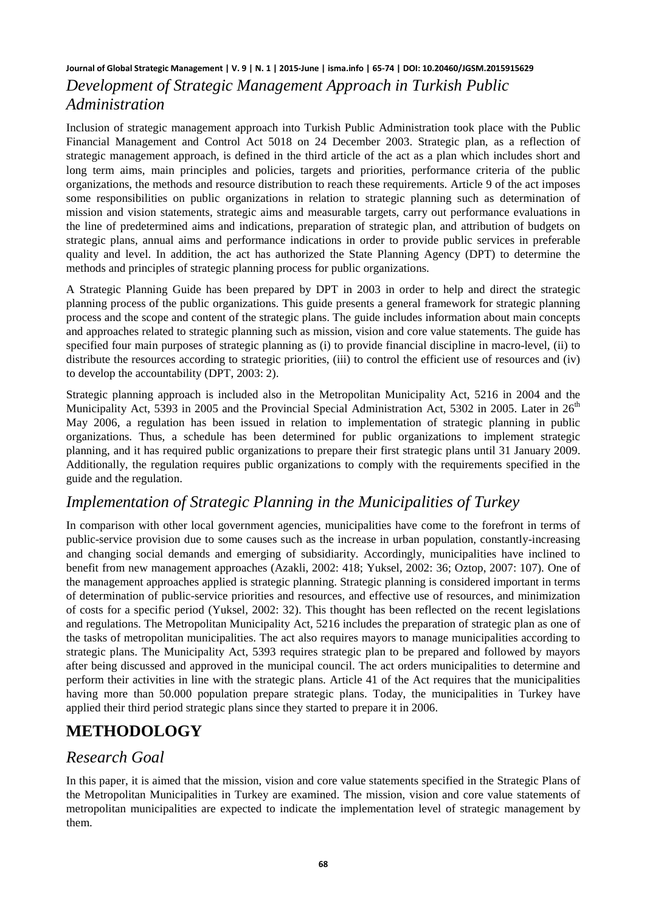# **Journal of Global Strategic Management | V. 9 | N. 1 | 2015-June | isma.info | 65-74 | DOI: 10.20460/JGSM.2015915629** *Development of Strategic Management Approach in Turkish Public Administration*

Inclusion of strategic management approach into Turkish Public Administration took place with the Public Financial Management and Control Act 5018 on 24 December 2003. Strategic plan, as a reflection of strategic management approach, is defined in the third article of the act as a plan which includes short and long term aims, main principles and policies, targets and priorities, performance criteria of the public organizations, the methods and resource distribution to reach these requirements. Article 9 of the act imposes some responsibilities on public organizations in relation to strategic planning such as determination of mission and vision statements, strategic aims and measurable targets, carry out performance evaluations in the line of predetermined aims and indications, preparation of strategic plan, and attribution of budgets on strategic plans, annual aims and performance indications in order to provide public services in preferable quality and level. In addition, the act has authorized the State Planning Agency (DPT) to determine the methods and principles of strategic planning process for public organizations.

A Strategic Planning Guide has been prepared by DPT in 2003 in order to help and direct the strategic planning process of the public organizations. This guide presents a general framework for strategic planning process and the scope and content of the strategic plans. The guide includes information about main concepts and approaches related to strategic planning such as mission, vision and core value statements. The guide has specified four main purposes of strategic planning as (i) to provide financial discipline in macro-level, (ii) to distribute the resources according to strategic priorities, (iii) to control the efficient use of resources and (iv) to develop the accountability (DPT, 2003: 2).

Strategic planning approach is included also in the Metropolitan Municipality Act, 5216 in 2004 and the Municipality Act, 5393 in 2005 and the Provincial Special Administration Act, 5302 in 2005. Later in 26<sup>th</sup> May 2006, a regulation has been issued in relation to implementation of strategic planning in public organizations. Thus, a schedule has been determined for public organizations to implement strategic planning, and it has required public organizations to prepare their first strategic plans until 31 January 2009. Additionally, the regulation requires public organizations to comply with the requirements specified in the guide and the regulation.

# *Implementation of Strategic Planning in the Municipalities of Turkey*

In comparison with other local government agencies, municipalities have come to the forefront in terms of public-service provision due to some causes such as the increase in urban population, constantly-increasing and changing social demands and emerging of subsidiarity. Accordingly, municipalities have inclined to benefit from new management approaches (Azakli, 2002: 418; Yuksel, 2002: 36; Oztop, 2007: 107). One of the management approaches applied is strategic planning. Strategic planning is considered important in terms of determination of public-service priorities and resources, and effective use of resources, and minimization of costs for a specific period (Yuksel, 2002: 32). This thought has been reflected on the recent legislations and regulations. The Metropolitan Municipality Act, 5216 includes the preparation of strategic plan as one of the tasks of metropolitan municipalities. The act also requires mayors to manage municipalities according to strategic plans. The Municipality Act, 5393 requires strategic plan to be prepared and followed by mayors after being discussed and approved in the municipal council. The act orders municipalities to determine and perform their activities in line with the strategic plans. Article 41 of the Act requires that the municipalities having more than 50.000 population prepare strategic plans. Today, the municipalities in Turkey have applied their third period strategic plans since they started to prepare it in 2006.

# **METHODOLOGY**

# *Research Goal*

In this paper, it is aimed that the mission, vision and core value statements specified in the Strategic Plans of the Metropolitan Municipalities in Turkey are examined. The mission, vision and core value statements of metropolitan municipalities are expected to indicate the implementation level of strategic management by them.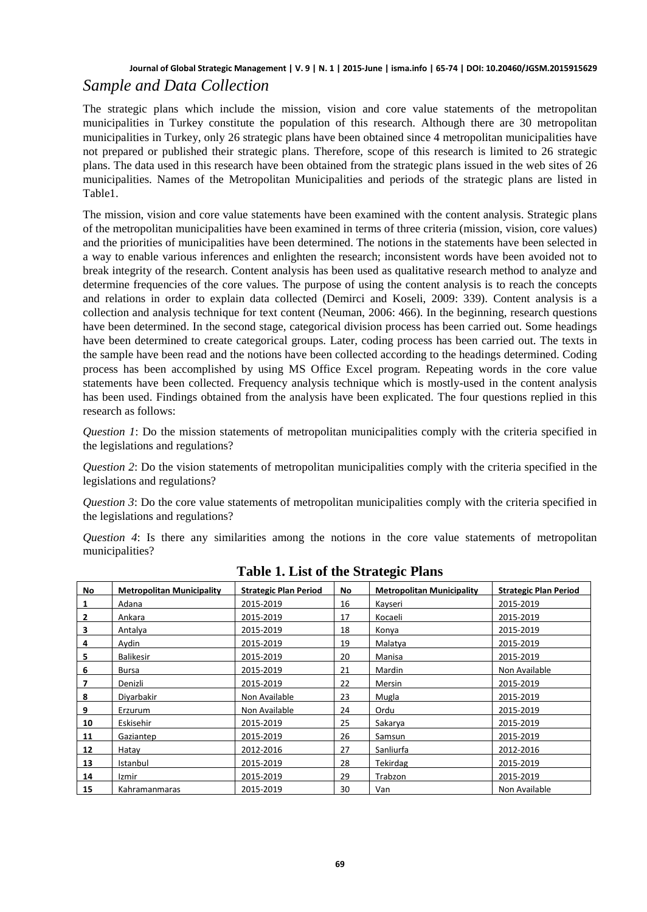# *Sample and Data Collection*

The strategic plans which include the mission, vision and core value statements of the metropolitan municipalities in Turkey constitute the population of this research. Although there are 30 metropolitan municipalities in Turkey, only 26 strategic plans have been obtained since 4 metropolitan municipalities have not prepared or published their strategic plans. Therefore, scope of this research is limited to 26 strategic plans. The data used in this research have been obtained from the strategic plans issued in the web sites of 26 municipalities. Names of the Metropolitan Municipalities and periods of the strategic plans are listed in Table1.

The mission, vision and core value statements have been examined with the content analysis. Strategic plans of the metropolitan municipalities have been examined in terms of three criteria (mission, vision, core values) and the priorities of municipalities have been determined. The notions in the statements have been selected in a way to enable various inferences and enlighten the research; inconsistent words have been avoided not to break integrity of the research. Content analysis has been used as qualitative research method to analyze and determine frequencies of the core values. The purpose of using the content analysis is to reach the concepts and relations in order to explain data collected (Demirci and Koseli, 2009: 339). Content analysis is a collection and analysis technique for text content (Neuman, 2006: 466). In the beginning, research questions have been determined. In the second stage, categorical division process has been carried out. Some headings have been determined to create categorical groups. Later, coding process has been carried out. The texts in the sample have been read and the notions have been collected according to the headings determined. Coding process has been accomplished by using MS Office Excel program. Repeating words in the core value statements have been collected. Frequency analysis technique which is mostly-used in the content analysis has been used. Findings obtained from the analysis have been explicated. The four questions replied in this research as follows:

*Question 1*: Do the mission statements of metropolitan municipalities comply with the criteria specified in the legislations and regulations?

*Question 2*: Do the vision statements of metropolitan municipalities comply with the criteria specified in the legislations and regulations?

*Question* 3: Do the core value statements of metropolitan municipalities comply with the criteria specified in the legislations and regulations?

*Question 4*: Is there any similarities among the notions in the core value statements of metropolitan municipalities?

| No | <b>Metropolitan Municipality</b> | <b>Strategic Plan Period</b> | No | <b>Metropolitan Municipality</b> | <b>Strategic Plan Period</b> |
|----|----------------------------------|------------------------------|----|----------------------------------|------------------------------|
|    | Adana                            | 2015-2019                    | 16 | Kayseri                          | 2015-2019                    |
| 2  | Ankara                           | 2015-2019                    | 17 | Kocaeli                          | 2015-2019                    |
| з  | Antalya                          | 2015-2019                    | 18 | Konya                            | 2015-2019                    |
| 4  | Aydin                            | 2015-2019                    | 19 | Malatya                          | 2015-2019                    |
| 5  | <b>Balikesir</b>                 | 2015-2019                    | 20 | Manisa                           | 2015-2019                    |
| 6  | Bursa                            | 2015-2019                    | 21 | Mardin                           | Non Available                |
| 7  | Denizli                          | 2015-2019                    | 22 | Mersin                           | 2015-2019                    |
| 8  | Diyarbakir                       | Non Available                | 23 | Mugla                            | 2015-2019                    |
| 9  | Erzurum                          | Non Available                | 24 | Ordu                             | 2015-2019                    |
| 10 | Eskisehir                        | 2015-2019                    | 25 | Sakarya                          | 2015-2019                    |
| 11 | Gaziantep                        | 2015-2019                    | 26 | Samsun                           | 2015-2019                    |
| 12 | Hatay                            | 2012-2016                    | 27 | Sanliurfa                        | 2012-2016                    |
| 13 | Istanbul                         | 2015-2019                    | 28 | Tekirdag                         | 2015-2019                    |
| 14 | Izmir                            | 2015-2019                    | 29 | Trabzon                          | 2015-2019                    |
| 15 | Kahramanmaras                    | 2015-2019                    | 30 | Van                              | Non Available                |

**Table 1. List of the Strategic Plans**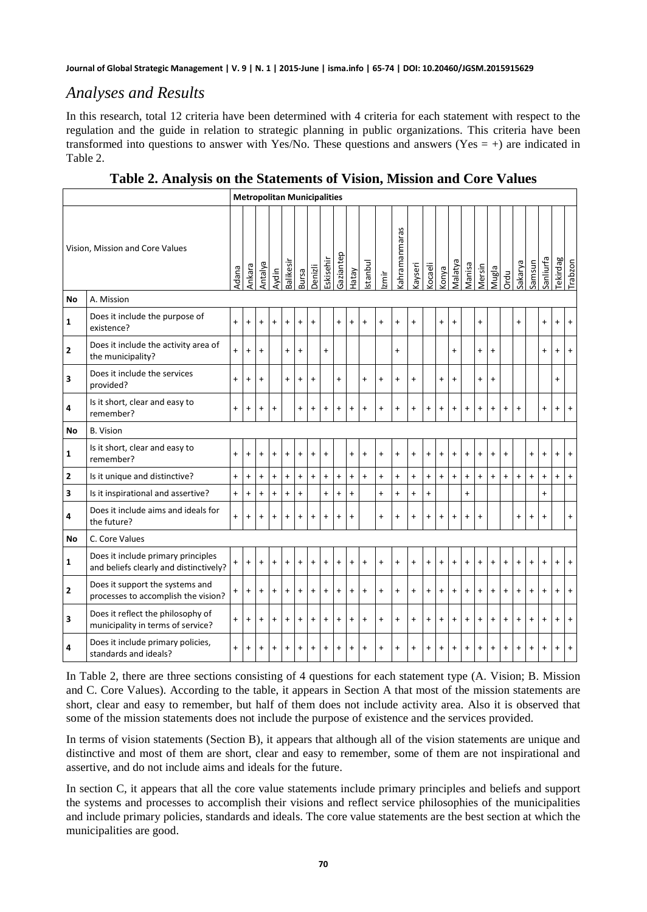# *Analyses and Results*

In this research, total 12 criteria have been determined with 4 criteria for each statement with respect to the regulation and the guide in relation to strategic planning in public organizations. This criteria have been transformed into questions to answer with Yes/No. These questions and answers (Yes  $= +$ ) are indicated in Table 2.

|                                 |                                                                              | <b>Metropolitan Municipalities</b> |                 |           |           |                                  |           |                                  |           |                                  |           |           |           |                      |           |           |           |           |           |           |                                  |           |           |                                  |           |           |           |
|---------------------------------|------------------------------------------------------------------------------|------------------------------------|-----------------|-----------|-----------|----------------------------------|-----------|----------------------------------|-----------|----------------------------------|-----------|-----------|-----------|----------------------|-----------|-----------|-----------|-----------|-----------|-----------|----------------------------------|-----------|-----------|----------------------------------|-----------|-----------|-----------|
| Vision, Mission and Core Values |                                                                              |                                    | Ankara<br>Adana | Antalya   | Aydin     | Balikesir                        | Bursa     | Denizli                          | Eskisehir | Gaziantep                        | Hatay     | Istanbul  | Izmir     | <b>Kahramanmaras</b> | Kayseri   | Kocaeli   | Konya     | Malatya   | Manisa    | Mersin    | Mugla                            | Ordu      | Sakarya   | Samsun                           | Sanliurfa | Tekirdag  | Trabzon   |
| No                              | A. Mission                                                                   |                                    |                 |           |           |                                  |           |                                  |           |                                  |           |           |           |                      |           |           |           |           |           |           |                                  |           |           |                                  |           |           |           |
| $\mathbf{1}$                    | Does it include the purpose of<br>existence?                                 | $\ddot{}$                          | $\ddot{}$       | $\ddot{}$ | $\ddot{}$ | $\ddot{}$                        | $\ddot{}$ | $\ddot{}$                        |           | $\ddot{}$                        | $\ddot{}$ | $\ddot{}$ | $\ddot{}$ | $\ddot{}$            | $\ddot{}$ |           | $\ddot{}$ | $\ddot{}$ |           | $\ddot{}$ |                                  |           | $\ddot{}$ |                                  | $\ddot{}$ | $\ddot{}$ | $\ddot{}$ |
| 2                               | Does it include the activity area of<br>the municipality?                    | $\ddot{}$                          | $\ddot{}$       | $\ddot{}$ |           | $\ddot{}$                        | $\ddot{}$ |                                  | $\ddot{}$ |                                  |           |           |           | $\ddot{}$            |           |           |           | $\ddot{}$ |           | $\ddot{}$ | $\ddot{}$                        |           |           |                                  | $\ddot{}$ | $\ddot{}$ | $\ddot{}$ |
| 3                               | Does it include the services<br>provided?                                    | $\ddot{}$                          | $\ddot{}$       | $\ddot{}$ |           | $\ddot{}$                        | $\ddot{}$ | $\ddot{}$                        |           | $\ddot{}$                        |           | $\ddot{}$ | $\ddot{}$ | $\ddot{}$            | $+$       |           | $\ddot{}$ | $\ddot{}$ |           | $\ddot{}$ | $\ddot{}$                        |           |           |                                  |           | $\ddot{}$ |           |
| 4                               | Is it short, clear and easy to<br>remember?                                  | $\ddot{}$                          | $\ddot{}$       | $\ddot{}$ | $\ddot{}$ |                                  | $\ddot{}$ | $\ddot{}$                        | $\ddot{}$ | $\ddot{}$                        | $\ddot{}$ | $\ddot{}$ | $\ddot{}$ | $\ddot{}$            | $+$       | $\ddot{}$ | $+$       | $\ddot{}$ | $+$       | $+$       | $\ddot{}$                        | $+$       | $+$       |                                  | $\ddot{}$ | $+$       | $\ddot{}$ |
| No                              | <b>B.</b> Vision                                                             |                                    |                 |           |           |                                  |           |                                  |           |                                  |           |           |           |                      |           |           |           |           |           |           |                                  |           |           |                                  |           |           |           |
| 1                               | Is it short, clear and easy to<br>remember?                                  | $^{+}$                             | $\ddot{}$       | $\ddot{}$ | $\ddot{}$ | $\ddot{}$                        | $\ddot{}$ | $\ddot{}$                        | $\ddot{}$ |                                  | $^{+}$    | $\ddot{}$ | $+$       | $\ddot{}$            | $+$       | $\ddot{}$ | $\ddot{}$ | $\ddot{}$ | $\ddot{}$ | $\ddot{}$ | $\ddot{}$                        | $\ddot{}$ |           | $^{+}$                           | $\ddot{}$ | $+$       | $\ddot{}$ |
| $\overline{2}$                  | Is it unique and distinctive?                                                | $+$                                | $\ddot{}$       | $\ddot{}$ | $\ddot{}$ | $\ddot{}$                        | $\ddot{}$ | $\ddot{+}$                       | $\ddot{}$ | $\ddot{}$                        | $+$       | $\ddot{}$ | $\ddot{}$ | $\ddot{}$            | $+$       | $\ddot{}$ | $+$       | $\ddot{}$ | $\ddot{}$ | $\ddot{}$ | $\ddot{}$                        | $+$       | $\ddot{}$ | $+$                              | $\ddot{}$ | $\ddot{}$ | $+$       |
| 3                               | Is it inspirational and assertive?                                           | $+$                                | $\ddot{}$       | $+$       | $\ddot{}$ | $\ddot{}$                        | $\ddot{}$ |                                  | $\ddot{}$ | $\ddot{}$                        | $+$       |           | $\ddot{}$ | $\ddot{}$            | $+$       | $\ddot{}$ |           |           | $\ddot{}$ |           |                                  |           |           |                                  | $\ddot{}$ |           |           |
| 4                               | Does it include aims and ideals for<br>the future?                           | $\ddot{}$                          | $\ddot{}$       | $\ddot{}$ | $\ddot{}$ | $\ddot{}$                        | $\ddot{}$ | $\ddot{}$                        | $\ddot{}$ | $\ddot{}$                        | $\ddot{}$ |           | $\ddot{}$ | $\ddot{}$            | $\ddot{}$ | $\ddot{}$ | $\ddot{}$ | $\ddot{}$ | $\ddot{}$ | $\ddot{}$ |                                  |           | $\ddot{}$ | $\begin{array}{c} + \end{array}$ | $\ddot{}$ |           | $\ddot{}$ |
| <b>No</b>                       | C. Core Values                                                               |                                    |                 |           |           |                                  |           |                                  |           |                                  |           |           |           |                      |           |           |           |           |           |           |                                  |           |           |                                  |           |           |           |
| 1                               | Does it include primary principles<br>and beliefs clearly and distinctively? | $+$                                | $\ddot{}$       | $\ddot{}$ | $\ddot{}$ | $+$                              | $\ddot{}$ | $+$                              | $\ddot{}$ | $\ddot{}$                        | $\ddot{}$ | $\ddot{}$ | $\ddot{}$ | $\ddot{}$            | $\ddot{}$ | $\ddot{}$ | $+$       | $\ddot{}$ | $+$       | $\ddot{}$ | $\ddot{}$                        | $\ddot{}$ | $\ddot{}$ | $\ddot{}$                        | $\ddot{}$ | $+$       | $\ddot{}$ |
| 2                               | Does it support the systems and<br>processes to accomplish the vision?       | $+$                                | $\ddot{}$       | $\ddot{}$ | $\ddot{}$ | $\ddot{}$                        | $\ddot{}$ | $\ddot{}$                        | $\ddot{}$ | $+$                              | $\ddot{}$ | $\ddot{}$ | $\ddot{}$ | $\ddot{}$            | $+$       | $\ddot{}$ | $+$       | $\ddot{}$ | $\ddot{}$ | $\ddot{}$ | $\ddot{}$                        | $\ddot{}$ | $+$       | $+$                              | $\ddot{}$ | $+$       | $\ddot{}$ |
| 3                               | Does it reflect the philosophy of<br>municipality in terms of service?       | $\ddot{}$                          | $\ddot{}$       | $\ddot{}$ | $\ddot{}$ | $\ddot{}$                        | $\ddot{}$ | $\ddot{}$                        | $\ddot{}$ | $\ddot{}$                        | $\ddot{}$ | $\ddot{}$ | $\ddot{}$ | $\ddot{}$            | $\ddot{}$ | $\ddot{}$ | $+$       | $\ddot{}$ | $\ddot{}$ | $\ddot{}$ | $\ddot{}$                        | $\ddot{}$ | $\ddot{}$ | $\ddot{}$                        | $\ddot{}$ | $\ddot{}$ | $\ddot{}$ |
| 4                               | Does it include primary policies,<br>standards and ideals?                   | $^{+}$                             | $\ddot{}$       | $\ddot{}$ | $\ddot{}$ | $\begin{array}{c} + \end{array}$ | $\ddot{}$ | $\begin{array}{c} + \end{array}$ | $\ddot{}$ | $\begin{array}{c} + \end{array}$ | $\ddot{}$ | $\ddot{}$ | $\ddot{}$ | $\ddot{}$            | $\ddot{}$ | $\ddot{}$ | $\ddot{}$ | $\ddot{}$ | $\ddot{}$ | $\ddot{}$ | $\begin{array}{c} + \end{array}$ | $\ddot{}$ | $\ddot{}$ | $\ddot{}$                        | $\ddot{}$ | $\ddot{}$ | $\ddot{}$ |

| Table 2. Analysis on the Statements of Vision, Mission and Core Values |  |  |
|------------------------------------------------------------------------|--|--|
|------------------------------------------------------------------------|--|--|

In Table 2, there are three sections consisting of 4 questions for each statement type (A. Vision; B. Mission and C. Core Values). According to the table, it appears in Section A that most of the mission statements are short, clear and easy to remember, but half of them does not include activity area. Also it is observed that some of the mission statements does not include the purpose of existence and the services provided.

In terms of vision statements (Section B), it appears that although all of the vision statements are unique and distinctive and most of them are short, clear and easy to remember, some of them are not inspirational and assertive, and do not include aims and ideals for the future.

In section C, it appears that all the core value statements include primary principles and beliefs and support the systems and processes to accomplish their visions and reflect service philosophies of the municipalities and include primary policies, standards and ideals. The core value statements are the best section at which the municipalities are good.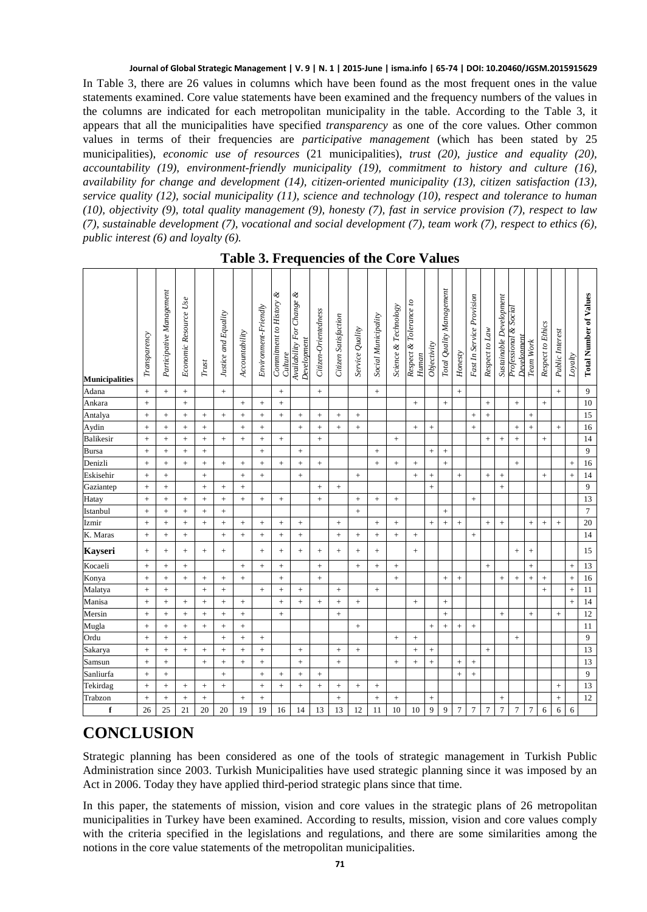In Table 3, there are 26 values in columns which have been found as the most frequent ones in the value statements examined. Core value statements have been examined and the frequency numbers of the values in the columns are indicated for each metropolitan municipality in the table. According to the Table 3, it appears that all the municipalities have specified *transparency* as one of the core values. Other common values in terms of their frequencies are *participative management* (which has been stated by 25 municipalities), *economic use of resources* (21 municipalities), *trust (20), justice and equality (20), accountability (19), environment-friendly municipality (19), commitment to history and culture (16), availability for change and development (14), citizen-oriented municipality (13), citizen satisfaction (13), service quality (12), social municipality (11), science and technology (10), respect and tolerance to human (10), objectivity (9), total quality management (9), honesty (7), fast in service provision (7), respect to law (7), sustainable development (7), vocational and social development (7), team work (7), respect to ethics (6), public interest (6) and loyalty (6).*

| <b>Municipalities</b> | Transparency    | Participative Management | Economic Resource Use | Trust           | Justice and Equality | Accountability | Environment-Friendly | ಳ<br>Commitment to History<br>Culture | ಳ<br>Availability For Change<br>Development | Citizen-Orientedness | Citizen Satisfaction | Service Quality  | <b>Social Municipality</b> | Science & Technology | Respect & Tolerance to<br>Human | Objectivity | Total Quality Management | Honesty        | Fast In Service Provision | Respect to Law | Sustainable Development | Professional & Social<br>Development | Tean Work | Respect to Ethics | Public Interest | Loyalty   | <b>Total Number of Values</b> |
|-----------------------|-----------------|--------------------------|-----------------------|-----------------|----------------------|----------------|----------------------|---------------------------------------|---------------------------------------------|----------------------|----------------------|------------------|----------------------------|----------------------|---------------------------------|-------------|--------------------------|----------------|---------------------------|----------------|-------------------------|--------------------------------------|-----------|-------------------|-----------------|-----------|-------------------------------|
| Adana                 | $\! +$          | $+$                      | $+$                   |                 | $\! +$               |                |                      |                                       |                                             | $\! +$               |                      |                  | $+$                        |                      |                                 |             |                          | $\! +$         |                           |                |                         |                                      |           |                   | $\! + \!$       |           | 9                             |
| Ankara                | $\ddot{}$       |                          | $\ddot{}$             |                 |                      | $^{+}$         | $\ddot{}$            | $\ddot{}$                             |                                             |                      |                      |                  |                            |                      | $\ddot{}$                       |             | $\ddot{}$                |                |                           | $\! + \!$      |                         | $\ddot{}$                            |           | $\, +$            |                 |           | 10                            |
| Antalya               |                 | $^{+}$                   | $\ddot{}$             |                 | $\! +$               | $\! +$         | $\ddot{}$            | $+$                                   | $+$                                         | $+$                  | $\boldsymbol{+}$     |                  |                            |                      |                                 |             |                          |                | $^{+}$                    |                |                         |                                      | $\! + \!$ |                   |                 |           | 15                            |
| Aydin                 | $^{+}$          | $\boldsymbol{+}$         | $\ddot{}$             | $^{+}$          |                      | $^{+}$         | $\ddot{}$            |                                       | $\! +$                                      | $^{+}$               | $\! +$               | $\ddot{}$        |                            |                      | $\ddot{}$                       | $\ddot{}$   |                          |                | $^{+}$                    |                |                         | $^{+}$                               | $\ddot{}$ |                   | $\ddot{}$       |           | 16                            |
| <b>Balikesir</b>      | $+$             |                          | $\ddot{}$             |                 | $+$                  |                | $\ddot{}$            | $+$                                   |                                             | $+$                  |                      |                  |                            | $+$                  |                                 |             |                          |                |                           |                |                         | $+$                                  |           | $\! +$            |                 |           | 14                            |
| <b>Bursa</b>          |                 | $\! + \!\!\!\!$          | $\ddot{}$             |                 |                      |                | $\ddot{}$            |                                       | $\! +$                                      |                      |                      |                  | $+$                        |                      |                                 | $+$         | $^{+}$                   |                |                           |                |                         |                                      |           |                   |                 |           | 9                             |
| Denizli               |                 | $\! +$                   | $\ddot{}$             | $\! + \!$       |                      | $^{+}$         | $\ddot{}$            |                                       | $^{+}$                                      | $\! +$               |                      |                  | $\! +$                     |                      | $\ddot{}$                       |             | $\ddot{+}$               |                |                           |                |                         |                                      |           |                   |                 | $^{+}$    | 16                            |
| Eskisehir             |                 | $\! + \!\!\!\!$          |                       | $^{+}$          |                      |                | $\ddot{}$            |                                       | $\! +$                                      |                      |                      | $^+$             |                            |                      | $^{+}$                          | $^{+}$      |                          | $+$            |                           | $^+$           |                         |                                      |           |                   |                 | $^{+}$    | 14                            |
| Gaziantep             |                 | $+$                      |                       | $^{+}$          | $^{+}$               | $\ddot{}$      |                      |                                       |                                             | $^{+}$               | $+$                  |                  |                            |                      |                                 | $+$         |                          |                |                           |                |                         |                                      |           |                   |                 |           | 9                             |
| Hatay                 |                 | $\! + \!\!\!\!$          | $\! + \!$             | $^{+}$          |                      |                | $\ddot{}$            | $+$                                   |                                             | $+$                  |                      | $\boldsymbol{+}$ | $+$                        | $\! +$               |                                 |             |                          |                | $+$                       |                |                         |                                      |           |                   |                 |           | 13                            |
| Istanbul              |                 | $+$                      | $\! + \!$             | $^{+}$          |                      |                |                      |                                       |                                             |                      |                      | $\ddot{}$        |                            |                      |                                 |             | $\ddot{}$                |                |                           |                |                         |                                      |           |                   |                 |           | $\overline{7}$                |
| Izmir                 | $^{+}$          | $+$                      | $\ddot{}$             | $+$             |                      | $^{+}$         | $^{+}$               | $+$                                   |                                             |                      | $+$                  |                  | $+$                        | $+$                  |                                 | $^{+}$      | $^{+}$                   | $^{+}$         |                           | $^{+}$         |                         |                                      | $+$       | $^{+}$            | $+$             |           | 20                            |
| K. Maras              |                 | $+$                      | $\! + \!$             |                 |                      | $\ddot{}$      | $\ddot{}$            | $+$                                   | $\! +$                                      |                      | $+$                  | $\boldsymbol{+}$ | $+$                        | $^{+}$               | $^{+}$                          |             |                          |                | $+$                       |                |                         |                                      |           |                   |                 |           | 14                            |
| <b>Kayseri</b>        | $\ddot{}$       | $^{+}$                   |                       | $^{+}$          | $\ddot{}$            |                | $\ddot{}$            |                                       | $^{+}$                                      | $\! + \!\!\!\!$      | $^{+}$               | $^{+}$           | $^{+}$                     |                      | $\ddot{}$                       |             |                          |                |                           |                |                         | $^{+}$                               | $^{+}$    |                   |                 |           | 15                            |
| Kocaeli               | $\ddot{}$       | $^{+}$                   |                       |                 |                      | $\ddot{}$      | $^{+}$               |                                       |                                             | $^{+}$               |                      | $\ddot{}$        | $^{+}$                     | $\! +$               |                                 |             |                          |                |                           | $^{+}$         |                         |                                      | $^{+}$    |                   |                 | $^{+}$    | 13                            |
| Konya                 | $+$             | $^{+}$                   | $\ddot{}$             |                 | $+$                  | $\ddot{+}$     |                      | $+$                                   |                                             | $+$                  |                      |                  |                            | $\ddot{+}$           |                                 |             | $\ddot{+}$               | $\ddot{+}$     |                           |                |                         |                                      | $\ddot{}$ | $^{+}$            |                 | $\ddot{}$ | 16                            |
| Malatya               | $\! + \!\!\!\!$ |                          |                       | $^{+}$          | $\! + \!\!\!\!$      |                | $^{+}$               |                                       |                                             |                      |                      |                  | $+$                        |                      |                                 |             |                          |                |                           |                |                         |                                      |           |                   |                 | $\ddot{}$ | 11                            |
| Manisa                | $\ddot{}$       | $^{+}$                   |                       | $^{+}$          | $\! + \!\!\!\!$      | $\ddot{}$      |                      |                                       | $^{+}$                                      | $^{+}$               | $^{+}$               |                  |                            |                      | $^{+}$                          |             | $\ddot{}$                |                |                           |                |                         |                                      |           |                   |                 | $\ddot{}$ | 14                            |
| Mersin                | $\! + \!\!\!\!$ |                          |                       | $^{+}$          | $\! + \!\!\!\!$      | $\ddot{}$      |                      |                                       |                                             |                      | $+$                  |                  |                            |                      |                                 |             | $\ddot{}$                |                |                           |                | $\! +$                  |                                      |           |                   |                 |           | 12                            |
| Mugla                 | $\ddot{}$       | $\ddot{}$                | $\ddot{}$             | $^{+}$          | $\! + \!\!\!\!$      | $\ddot{}$      |                      |                                       |                                             |                      |                      | $\! + \!$        |                            |                      |                                 | $\ddot{}$   | $\ddot{}$                | $\ddot{}$      | $^{+}$                    |                |                         |                                      |           |                   |                 |           | 11                            |
| Ordu                  | $\ddot{}$       |                          | $\ddot{}$             |                 | $\! + \!\!\!\!$      | $\ddot{}$      | $^{+}$               |                                       |                                             |                      |                      |                  |                            | $^{+}$               | $^{+}$                          |             |                          |                |                           |                |                         | $\! +$                               |           |                   |                 |           | 9                             |
| Sakarya               | $^{+}$          |                          | $\ddot{}$             | $^{+}$          | $\! + \!\!\!\!$      | $^{+}$         | $\ddot{}$            |                                       |                                             |                      | $\boldsymbol{+}$     |                  |                            |                      | $^{+}$                          | $^{+}$      |                          |                |                           |                |                         |                                      |           |                   |                 |           | 13                            |
| Samsun                | $^{+}$          | $^{+}$                   |                       | $^{+}$          | $\! + \!\!\!\!$      | $^{+}$         | $\ddot{}$            |                                       | $^{+}$                                      |                      | $+$                  |                  |                            | $^{+}$               | $^{+}$                          | $^{+}$      |                          | $+$            | $^{+}$                    |                |                         |                                      |           |                   |                 |           | 13                            |
| Sanliurfa             |                 | $\! +$                   |                       |                 |                      |                | $\ddot{}$            |                                       |                                             | $+$                  |                      |                  |                            |                      |                                 |             |                          |                | $+$                       |                |                         |                                      |           |                   |                 |           | 9                             |
| Tekirdag              | $\ddot{}$       | $\ddot{}$                |                       | $^{+}$          | $^{+}$               |                | $\ddot{}$            | $\! + \!$                             | $^{+}$                                      | $^{+}$               |                      | $\! + \!$        | $^{+}$                     |                      |                                 |             |                          |                |                           |                |                         |                                      |           |                   |                 |           | 13                            |
| Trabzon               | $^{+}$          | $^+$                     | $\! + \!$             | $\! + \!\!\!\!$ |                      | $^{+}$         | $^{+}$               |                                       |                                             |                      | $^{+}$               |                  | $\! + \!\!\!\!$            |                      |                                 | $^{+}$      |                          |                |                           |                | $^{+}$                  |                                      |           |                   | $^{+}$          |           | 12                            |
| f                     | 26              | 25                       | 21                    | 20              | 20                   | 19             | 19                   | 16                                    | 14                                          | 13                   | 13                   | 12               | 11                         | 10                   | 10                              | 9           | 9                        | $\overline{7}$ | $\overline{7}$            | $\tau$         | $\tau$                  | $\tau$                               | $\tau$    | 6                 | 6               | 6         |                               |

**Table 3. Frequencies of the Core Values**

# **CONCLUSION**

Strategic planning has been considered as one of the tools of strategic management in Turkish Public Administration since 2003. Turkish Municipalities have used strategic planning since it was imposed by an Act in 2006. Today they have applied third-period strategic plans since that time.

In this paper, the statements of mission, vision and core values in the strategic plans of 26 metropolitan municipalities in Turkey have been examined. According to results, mission, vision and core values comply with the criteria specified in the legislations and regulations, and there are some similarities among the notions in the core value statements of the metropolitan municipalities.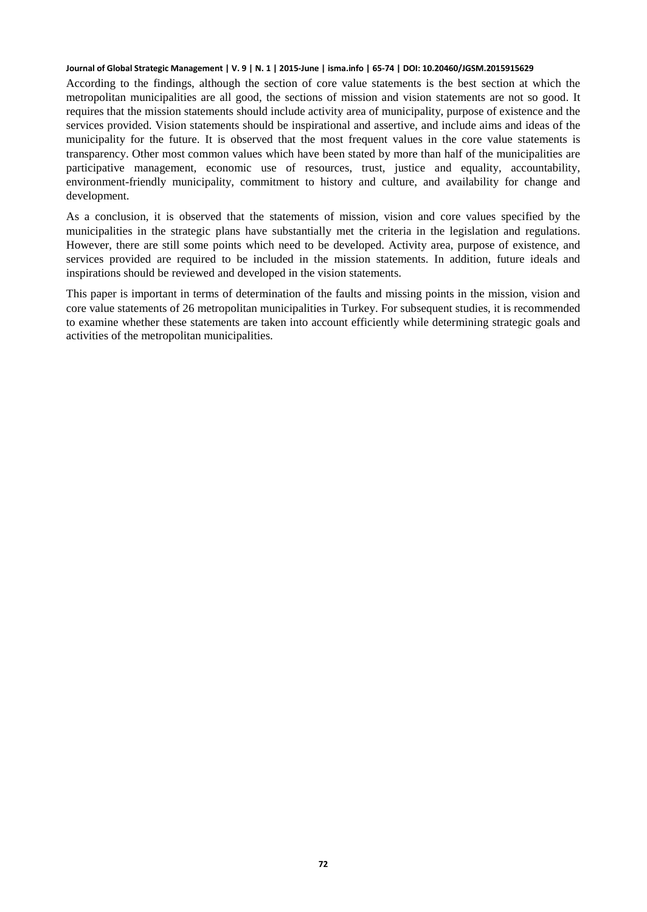According to the findings, although the section of core value statements is the best section at which the metropolitan municipalities are all good, the sections of mission and vision statements are not so good. It requires that the mission statements should include activity area of municipality, purpose of existence and the services provided. Vision statements should be inspirational and assertive, and include aims and ideas of the municipality for the future. It is observed that the most frequent values in the core value statements is transparency. Other most common values which have been stated by more than half of the municipalities are participative management, economic use of resources, trust, justice and equality, accountability, environment-friendly municipality, commitment to history and culture, and availability for change and development.

As a conclusion, it is observed that the statements of mission, vision and core values specified by the municipalities in the strategic plans have substantially met the criteria in the legislation and regulations. However, there are still some points which need to be developed. Activity area, purpose of existence, and services provided are required to be included in the mission statements. In addition, future ideals and inspirations should be reviewed and developed in the vision statements.

This paper is important in terms of determination of the faults and missing points in the mission, vision and core value statements of 26 metropolitan municipalities in Turkey. For subsequent studies, it is recommended to examine whether these statements are taken into account efficiently while determining strategic goals and activities of the metropolitan municipalities.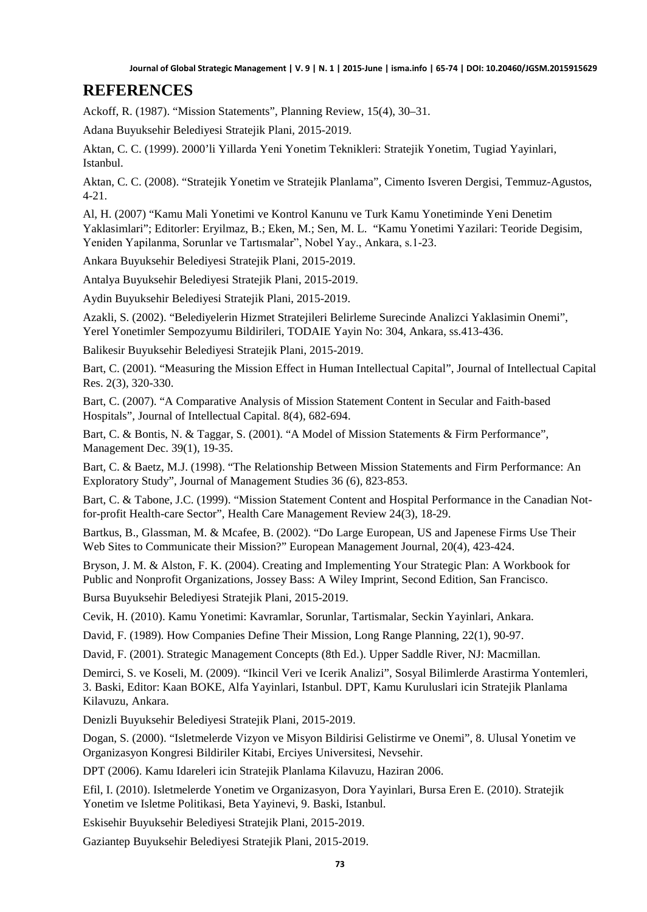# **REFERENCES**

Ackoff, R. (1987). "Mission Statements", Planning Review, 15(4), 30–31.

Adana Buyuksehir Belediyesi Stratejik Plani, 2015-2019.

Aktan, C. C. (1999). 2000'li Yillarda Yeni Yonetim Teknikleri: Stratejik Yonetim, Tugiad Yayinlari, Istanbul.

Aktan, C. C. (2008). "Stratejik Yonetim ve Stratejik Planlama", Cimento Isveren Dergisi, Temmuz-Agustos, 4-21.

Al, H. (2007) "Kamu Mali Yonetimi ve Kontrol Kanunu ve Turk Kamu Yonetiminde Yeni Denetim Yaklasimlari"; Editorler: Eryilmaz, B.; Eken, M.; Sen, M. L. "Kamu Yonetimi Yazilari: Teoride Degisim, Yeniden Yapilanma, Sorunlar ve Tartısmalar", Nobel Yay., Ankara, s.1-23.

Ankara Buyuksehir Belediyesi Stratejik Plani, 2015-2019.

Antalya Buyuksehir Belediyesi Stratejik Plani, 2015-2019.

Aydin Buyuksehir Belediyesi Stratejik Plani, 2015-2019.

Azakli, S. (2002). "Belediyelerin Hizmet Stratejileri Belirleme Surecinde Analizci Yaklasimin Onemi", Yerel Yonetimler Sempozyumu Bildirileri, TODAIE Yayin No: 304, Ankara, ss.413-436.

Balikesir Buyuksehir Belediyesi Stratejik Plani, 2015-2019.

Bart, C. (2001). "Measuring the Mission Effect in Human Intellectual Capital", Journal of Intellectual Capital Res. 2(3), 320-330.

Bart, C. (2007). "A Comparative Analysis of Mission Statement Content in Secular and Faith-based Hospitals", Journal of Intellectual Capital. 8(4), 682-694.

Bart, C. & Bontis, N. & Taggar, S. (2001). "A Model of Mission Statements & Firm Performance", Management Dec. 39(1), 19-35.

Bart, C. & Baetz, M.J. (1998). "The Relationship Between Mission Statements and Firm Performance: An Exploratory Study", Journal of Management Studies 36 (6), 823-853.

Bart, C. & Tabone, J.C. (1999). "Mission Statement Content and Hospital Performance in the Canadian Notfor-profit Health-care Sector", Health Care Management Review 24(3), 18-29.

Bartkus, B., Glassman, M. & Mcafee, B. (2002). "Do Large European, US and Japenese Firms Use Their Web Sites to Communicate their Mission?" European Management Journal, 20(4), 423-424.

Bryson, J. M. & Alston, F. K. (2004). Creating and Implementing Your Strategic Plan: A Workbook for Public and Nonprofit Organizations, Jossey Bass: A Wiley Imprint, Second Edition, San Francisco.

Bursa Buyuksehir Belediyesi Stratejik Plani, 2015-2019.

Cevik, H. (2010). Kamu Yonetimi: Kavramlar, Sorunlar, Tartismalar, Seckin Yayinlari, Ankara.

David, F. (1989). How Companies Define Their Mission, Long Range Planning, 22(1), 90-97.

David, F. (2001). Strategic Management Concepts (8th Ed.). Upper Saddle River, NJ: Macmillan.

Demirci, S. ve Koseli, M. (2009). "Ikincil Veri ve Icerik Analizi", Sosyal Bilimlerde Arastirma Yontemleri, 3. Baski, Editor: Kaan BOKE, Alfa Yayinlari, Istanbul. DPT, Kamu Kuruluslari icin Stratejik Planlama Kilavuzu, Ankara.

Denizli Buyuksehir Belediyesi Stratejik Plani, 2015-2019.

Dogan, S. (2000). "Isletmelerde Vizyon ve Misyon Bildirisi Gelistirme ve Onemi", 8. Ulusal Yonetim ve Organizasyon Kongresi Bildiriler Kitabi, Erciyes Universitesi, Nevsehir.

DPT (2006). Kamu Idareleri icin Stratejik Planlama Kilavuzu, Haziran 2006.

Efil, I. (2010). Isletmelerde Yonetim ve Organizasyon, Dora Yayinlari, Bursa Eren E. (2010). Stratejik Yonetim ve Isletme Politikasi, Beta Yayinevi, 9. Baski, Istanbul.

Eskisehir Buyuksehir Belediyesi Stratejik Plani, 2015-2019.

Gaziantep Buyuksehir Belediyesi Stratejik Plani, 2015-2019.